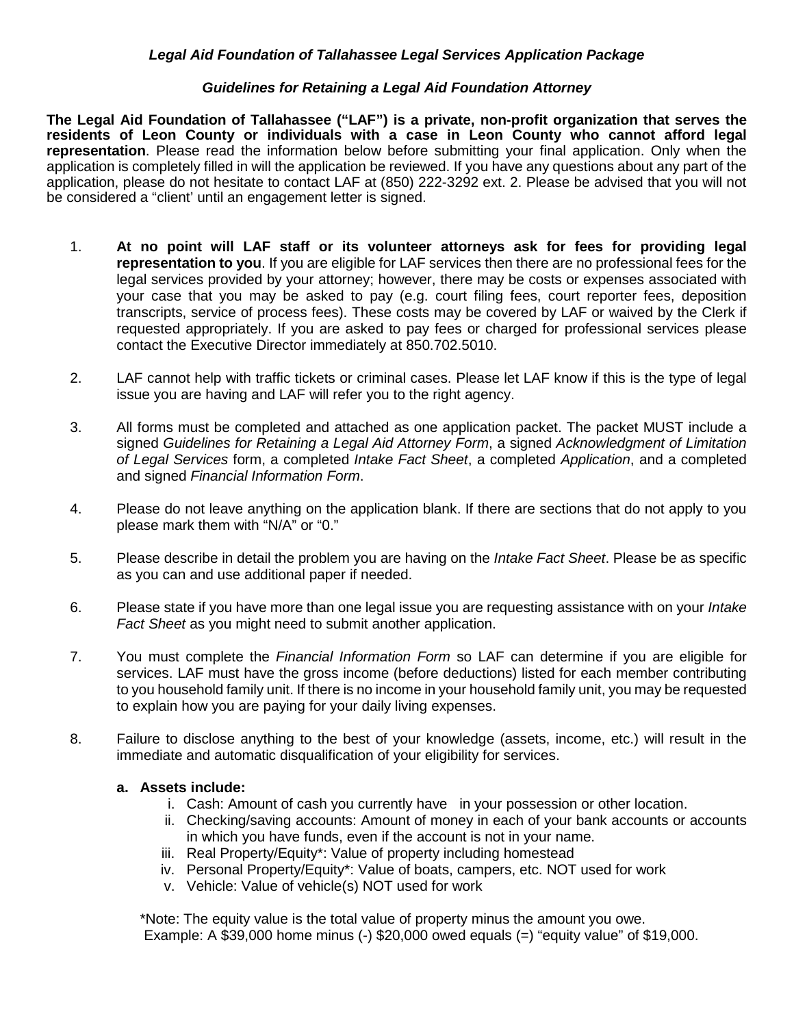#### *Legal Aid Foundation of Tallahassee Legal Services Application Package*

#### *Guidelines for Retaining a Legal Aid Foundation Attorney*

**The Legal Aid Foundation of Tallahassee ("LAF") is a private, non-profit organization that serves the residents of Leon County or individuals with a case in Leon County who cannot afford legal representation**. Please read the information below before submitting your final application. Only when the application is completely filled in will the application be reviewed. If you have any questions about any part of the application, please do not hesitate to contact LAF at (850) 222-3292 ext. 2. Please be advised that you will not be considered a "client' until an engagement letter is signed.

- 1. **At no point will LAF staff or its volunteer attorneys ask for fees for providing legal representation to you**. If you are eligible for LAF services then there are no professional fees for the legal services provided by your attorney; however, there may be costs or expenses associated with your case that you may be asked to pay (e.g. court filing fees, court reporter fees, deposition transcripts, service of process fees). These costs may be covered by LAF or waived by the Clerk if requested appropriately. If you are asked to pay fees or charged for professional services please contact the Executive Director immediately at 850.702.5010.
- 2. LAF cannot help with traffic tickets or criminal cases. Please let LAF know if this is the type of legal issue you are having and LAF will refer you to the right agency.
- 3. All forms must be completed and attached as one application packet. The packet MUST include a signed *Guidelines for Retaining a Legal Aid Attorney Form*, a signed *Acknowledgment of Limitation of Legal Services* form, a completed *Intake Fact Sheet*, a completed *Application*, and a completed and signed *Financial Information Form*.
- 4. Please do not leave anything on the application blank. If there are sections that do not apply to you please mark them with "N/A" or "0."
- 5. Please describe in detail the problem you are having on the *Intake Fact Sheet*. Please be as specific as you can and use additional paper if needed.
- 6. Please state if you have more than one legal issue you are requesting assistance with on your *Intake Fact Sheet* as you might need to submit another application.
- 7. You must complete the *Financial Information Form* so LAF can determine if you are eligible for services. LAF must have the gross income (before deductions) listed for each member contributing to you household family unit. If there is no income in your household family unit, you may be requested to explain how you are paying for your daily living expenses.
- 8. Failure to disclose anything to the best of your knowledge (assets, income, etc.) will result in the immediate and automatic disqualification of your eligibility for services.

#### **a. Assets include:**

- i. Cash: Amount of cash you currently have in your possession or other location.
- ii. Checking/saving accounts: Amount of money in each of your bank accounts or accounts in which you have funds, even if the account is not in your name.
- iii. Real Property/Equity\*: Value of property including homestead
- iv. Personal Property/Equity\*: Value of boats, campers, etc. NOT used for work
- v. Vehicle: Value of vehicle(s) NOT used for work

\*Note: The equity value is the total value of property minus the amount you owe. Example: A \$39,000 home minus  $(-)$  \$20,000 owed equals  $(=)$  "equity value" of \$19,000.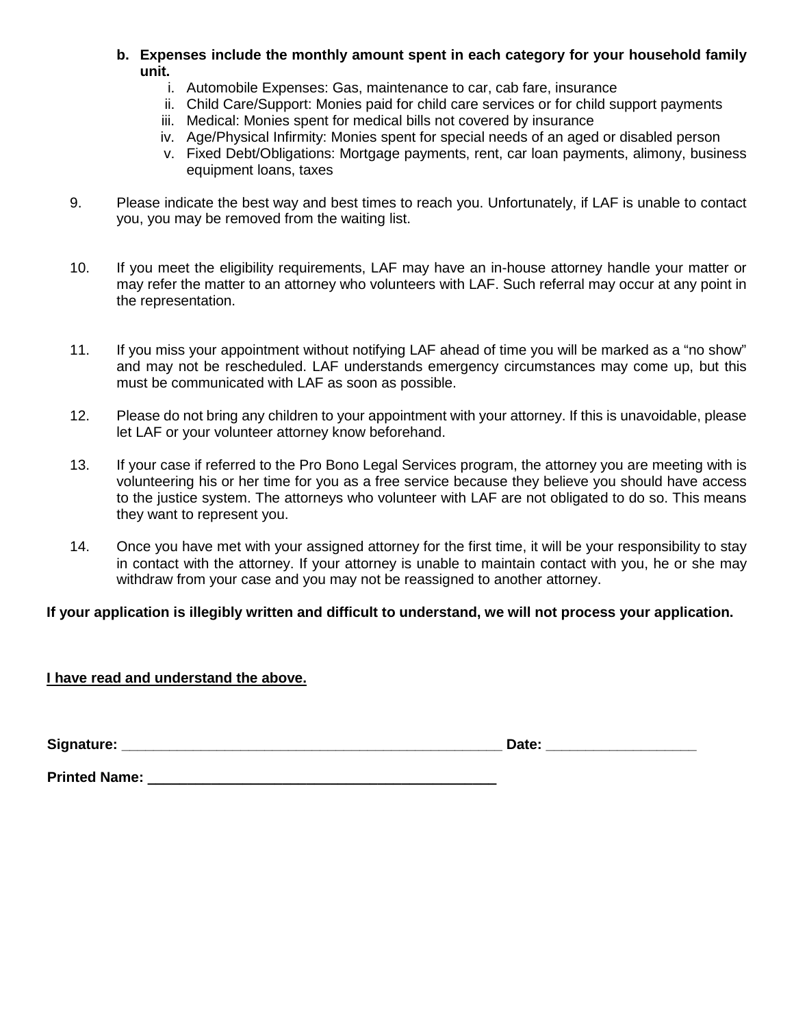- **b. Expenses include the monthly amount spent in each category for your household family unit.**
	- i. Automobile Expenses: Gas, maintenance to car, cab fare, insurance
	- ii. Child Care/Support: Monies paid for child care services or for child support payments
	- iii. Medical: Monies spent for medical bills not covered by insurance
	- iv. Age/Physical Infirmity: Monies spent for special needs of an aged or disabled person
	- v. Fixed Debt/Obligations: Mortgage payments, rent, car loan payments, alimony, business equipment loans, taxes
- 9. Please indicate the best way and best times to reach you. Unfortunately, if LAF is unable to contact you, you may be removed from the waiting list.
- 10. If you meet the eligibility requirements, LAF may have an in-house attorney handle your matter or may refer the matter to an attorney who volunteers with LAF. Such referral may occur at any point in the representation.
- 11. If you miss your appointment without notifying LAF ahead of time you will be marked as a "no show" and may not be rescheduled. LAF understands emergency circumstances may come up, but this must be communicated with LAF as soon as possible.
- 12. Please do not bring any children to your appointment with your attorney. If this is unavoidable, please let LAF or your volunteer attorney know beforehand.
- 13. If your case if referred to the Pro Bono Legal Services program, the attorney you are meeting with is volunteering his or her time for you as a free service because they believe you should have access to the justice system. The attorneys who volunteer with LAF are not obligated to do so. This means they want to represent you.
- 14. Once you have met with your assigned attorney for the first time, it will be your responsibility to stay in contact with the attorney. If your attorney is unable to maintain contact with you, he or she may withdraw from your case and you may not be reassigned to another attorney.

## **If your application is illegibly written and difficult to understand, we will not process your application.**

## **I have read and understand the above.**

**Signature: \_\_\_\_\_\_\_\_\_\_\_\_\_\_\_\_\_\_\_\_\_\_\_\_\_\_\_\_\_\_\_\_\_\_\_\_\_\_\_\_\_\_\_\_\_\_\_\_ Date: \_\_\_\_\_\_\_\_\_\_\_\_\_\_\_\_\_\_\_** 

**Printed Name: \_\_\_\_\_\_\_\_\_\_\_\_\_\_\_\_\_\_\_\_\_\_\_\_\_\_\_\_\_\_\_\_\_\_\_\_\_\_\_\_\_\_\_\_**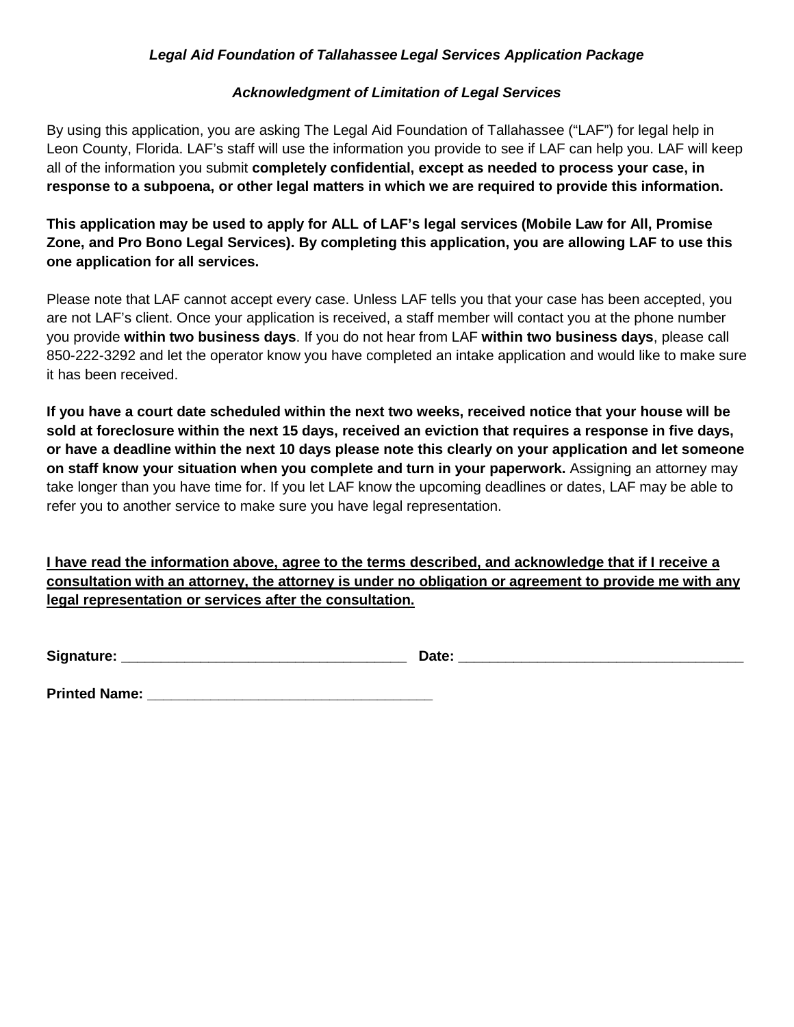## *Legal Aid Foundation of Tallahassee Legal Services Application Package*

## *Acknowledgment of Limitation of Legal Services*

By using this application, you are asking The Legal Aid Foundation of Tallahassee ("LAF") for legal help in Leon County, Florida. LAF's staff will use the information you provide to see if LAF can help you. LAF will keep all of the information you submit **completely confidential, except as needed to process your case, in response to a subpoena, or other legal matters in which we are required to provide this information.**

**This application may be used to apply for ALL of LAF's legal services (Mobile Law for All, Promise Zone, and Pro Bono Legal Services). By completing this application, you are allowing LAF to use this one application for all services.**

Please note that LAF cannot accept every case. Unless LAF tells you that your case has been accepted, you are not LAF's client. Once your application is received, a staff member will contact you at the phone number you provide **within two business days**. If you do not hear from LAF **within two business days**, please call 850-222-3292 and let the operator know you have completed an intake application and would like to make sure it has been received.

**If you have a court date scheduled within the next two weeks, received notice that your house will be sold at foreclosure within the next 15 days, received an eviction that requires a response in five days, or have a deadline within the next 10 days please note this clearly on your application and let someone on staff know your situation when you complete and turn in your paperwork.** Assigning an attorney may take longer than you have time for. If you let LAF know the upcoming deadlines or dates, LAF may be able to refer you to another service to make sure you have legal representation.

**I have read the information above, agree to the terms described, and acknowledge that if I receive a consultation with an attorney, the attorney is under no obligation or agreement to provide me with any legal representation or services after the consultation.** 

Signature: **Example 20 and 20 and 20 and 20 and 20 and 20 and 20 and 20 and 20 and 20 and 20 and 20 and 20 and 20 and 20 and 20 and 20 and 20 and 20 and 20 and 20 and 20 and 20 and 20 and 20 and 20 and 20 and 20 and 20 and** 

**Printed Name: \_\_\_\_\_\_\_\_\_\_\_\_\_\_\_\_\_\_\_\_\_\_\_\_\_\_\_\_\_\_\_\_\_\_\_\_**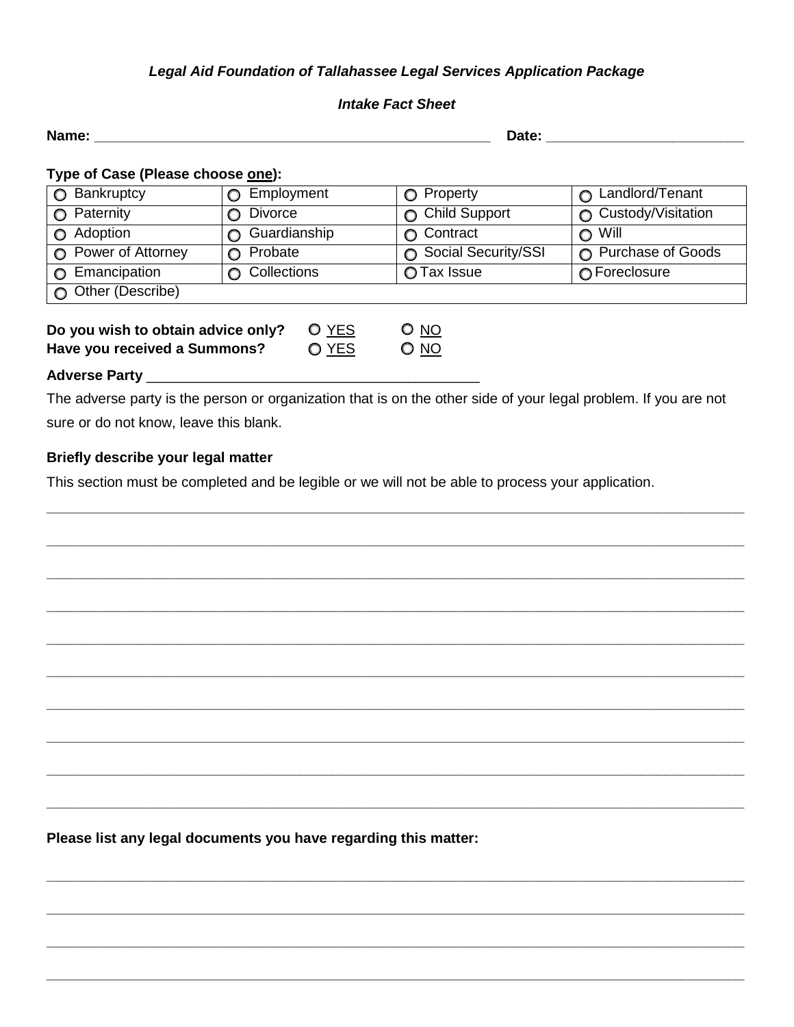# *Legal Aid Foundation of Tallahassee Legal Services Application Package*

## *Intake Fact Sheet*

| Name: $\_\_$                                                       |                            |                    | Date:                                                                                                           |                            |  |
|--------------------------------------------------------------------|----------------------------|--------------------|-----------------------------------------------------------------------------------------------------------------|----------------------------|--|
| Type of Case (Please choose one):                                  |                            |                    |                                                                                                                 |                            |  |
| $\bigcirc$ Bankruptcy                                              | <b>O</b> Employment        |                    | Property<br>$\circ$                                                                                             | <b>C</b> Landlord/Tenant   |  |
| $\bigcirc$ Paternity                                               | <b>Divorce</b><br>$\Omega$ |                    | <b>Child Support</b><br>$\circ$                                                                                 | Custody/Visitation         |  |
| Adoption<br>$\circ$                                                | <b>Guardianship</b>        |                    | <b>O</b> Contract                                                                                               | $\bigcirc$ Will            |  |
| <b>O</b> Power of Attorney                                         | Probate                    |                    | ◯ Social Security/SSI                                                                                           | <b>O</b> Purchase of Goods |  |
| <b>O</b> Emancipation                                              | <b>O</b> Collections       |                    | ◯ Tax Issue                                                                                                     | ∩ Foreclosure              |  |
| O Other (Describe)                                                 |                            |                    |                                                                                                                 |                            |  |
| Do you wish to obtain advice only?<br>Have you received a Summons? |                            | $O$ $YES$<br>O YES | $O$ $NO$<br>$O$ $NO$                                                                                            |                            |  |
|                                                                    |                            |                    |                                                                                                                 |                            |  |
|                                                                    |                            |                    | The adverse party is the person or organization that is on the other side of your legal problem. If you are not |                            |  |
| sure or do not know, leave this blank.                             |                            |                    |                                                                                                                 |                            |  |
|                                                                    |                            |                    |                                                                                                                 |                            |  |

**\_\_\_\_\_\_\_\_\_\_\_\_\_\_\_\_\_\_\_\_\_\_\_\_\_\_\_\_\_\_\_\_\_\_\_\_\_\_\_\_\_\_\_\_\_\_\_\_\_\_\_\_\_\_\_\_\_\_\_\_\_\_\_\_\_\_\_\_\_\_\_\_\_\_\_\_\_\_\_\_\_\_\_\_\_\_\_\_**

**\_\_\_\_\_\_\_\_\_\_\_\_\_\_\_\_\_\_\_\_\_\_\_\_\_\_\_\_\_\_\_\_\_\_\_\_\_\_\_\_\_\_\_\_\_\_\_\_\_\_\_\_\_\_\_\_\_\_\_\_\_\_\_\_\_\_\_\_\_\_\_\_\_\_\_\_\_\_\_\_\_\_\_\_\_\_\_\_**

**\_\_\_\_\_\_\_\_\_\_\_\_\_\_\_\_\_\_\_\_\_\_\_\_\_\_\_\_\_\_\_\_\_\_\_\_\_\_\_\_\_\_\_\_\_\_\_\_\_\_\_\_\_\_\_\_\_\_\_\_\_\_\_\_\_\_\_\_\_\_\_\_\_\_\_\_\_\_\_\_\_\_\_\_\_\_\_\_**

**\_\_\_\_\_\_\_\_\_\_\_\_\_\_\_\_\_\_\_\_\_\_\_\_\_\_\_\_\_\_\_\_\_\_\_\_\_\_\_\_\_\_\_\_\_\_\_\_\_\_\_\_\_\_\_\_\_\_\_\_\_\_\_\_\_\_\_\_\_\_\_\_\_\_\_\_\_\_\_\_\_\_\_\_\_\_\_\_**

**\_\_\_\_\_\_\_\_\_\_\_\_\_\_\_\_\_\_\_\_\_\_\_\_\_\_\_\_\_\_\_\_\_\_\_\_\_\_\_\_\_\_\_\_\_\_\_\_\_\_\_\_\_\_\_\_\_\_\_\_\_\_\_\_\_\_\_\_\_\_\_\_\_\_\_\_\_\_\_\_\_\_\_\_\_\_\_\_**

**\_\_\_\_\_\_\_\_\_\_\_\_\_\_\_\_\_\_\_\_\_\_\_\_\_\_\_\_\_\_\_\_\_\_\_\_\_\_\_\_\_\_\_\_\_\_\_\_\_\_\_\_\_\_\_\_\_\_\_\_\_\_\_\_\_\_\_\_\_\_\_\_\_\_\_\_\_\_\_\_\_\_\_\_\_\_\_\_**

**\_\_\_\_\_\_\_\_\_\_\_\_\_\_\_\_\_\_\_\_\_\_\_\_\_\_\_\_\_\_\_\_\_\_\_\_\_\_\_\_\_\_\_\_\_\_\_\_\_\_\_\_\_\_\_\_\_\_\_\_\_\_\_\_\_\_\_\_\_\_\_\_\_\_\_\_\_\_\_\_\_\_\_\_\_\_\_\_**

**\_\_\_\_\_\_\_\_\_\_\_\_\_\_\_\_\_\_\_\_\_\_\_\_\_\_\_\_\_\_\_\_\_\_\_\_\_\_\_\_\_\_\_\_\_\_\_\_\_\_\_\_\_\_\_\_\_\_\_\_\_\_\_\_\_\_\_\_\_\_\_\_\_\_\_\_\_\_\_\_\_\_\_\_\_\_\_\_**

**\_\_\_\_\_\_\_\_\_\_\_\_\_\_\_\_\_\_\_\_\_\_\_\_\_\_\_\_\_\_\_\_\_\_\_\_\_\_\_\_\_\_\_\_\_\_\_\_\_\_\_\_\_\_\_\_\_\_\_\_\_\_\_\_\_\_\_\_\_\_\_\_\_\_\_\_\_\_\_\_\_\_\_\_\_\_\_\_**

**\_\_\_\_\_\_\_\_\_\_\_\_\_\_\_\_\_\_\_\_\_\_\_\_\_\_\_\_\_\_\_\_\_\_\_\_\_\_\_\_\_\_\_\_\_\_\_\_\_\_\_\_\_\_\_\_\_\_\_\_\_\_\_\_\_\_\_\_\_\_\_\_\_\_\_\_\_\_\_\_\_\_\_\_\_\_\_\_**

**\_\_\_\_\_\_\_\_\_\_\_\_\_\_\_\_\_\_\_\_\_\_\_\_\_\_\_\_\_\_\_\_\_\_\_\_\_\_\_\_\_\_\_\_\_\_\_\_\_\_\_\_\_\_\_\_\_\_\_\_\_\_\_\_\_\_\_\_\_\_\_\_\_\_\_\_\_\_\_\_\_\_\_\_\_\_\_\_**

**\_\_\_\_\_\_\_\_\_\_\_\_\_\_\_\_\_\_\_\_\_\_\_\_\_\_\_\_\_\_\_\_\_\_\_\_\_\_\_\_\_\_\_\_\_\_\_\_\_\_\_\_\_\_\_\_\_\_\_\_\_\_\_\_\_\_\_\_\_\_\_\_\_\_\_\_\_\_\_\_\_\_\_\_\_\_\_\_**

**\_\_\_\_\_\_\_\_\_\_\_\_\_\_\_\_\_\_\_\_\_\_\_\_\_\_\_\_\_\_\_\_\_\_\_\_\_\_\_\_\_\_\_\_\_\_\_\_\_\_\_\_\_\_\_\_\_\_\_\_\_\_\_\_\_\_\_\_\_\_\_\_\_\_\_\_\_\_\_\_\_\_\_\_\_\_\_\_**

**\_\_\_\_\_\_\_\_\_\_\_\_\_\_\_\_\_\_\_\_\_\_\_\_\_\_\_\_\_\_\_\_\_\_\_\_\_\_\_\_\_\_\_\_\_\_\_\_\_\_\_\_\_\_\_\_\_\_\_\_\_\_\_\_\_\_\_\_\_\_\_\_\_\_\_\_\_\_\_\_\_\_\_\_\_\_\_\_**

# **Briefly describe your legal matter**

This section must be completed and be legible or we will not be able to process your application.

**Please list any legal documents you have regarding this matter:**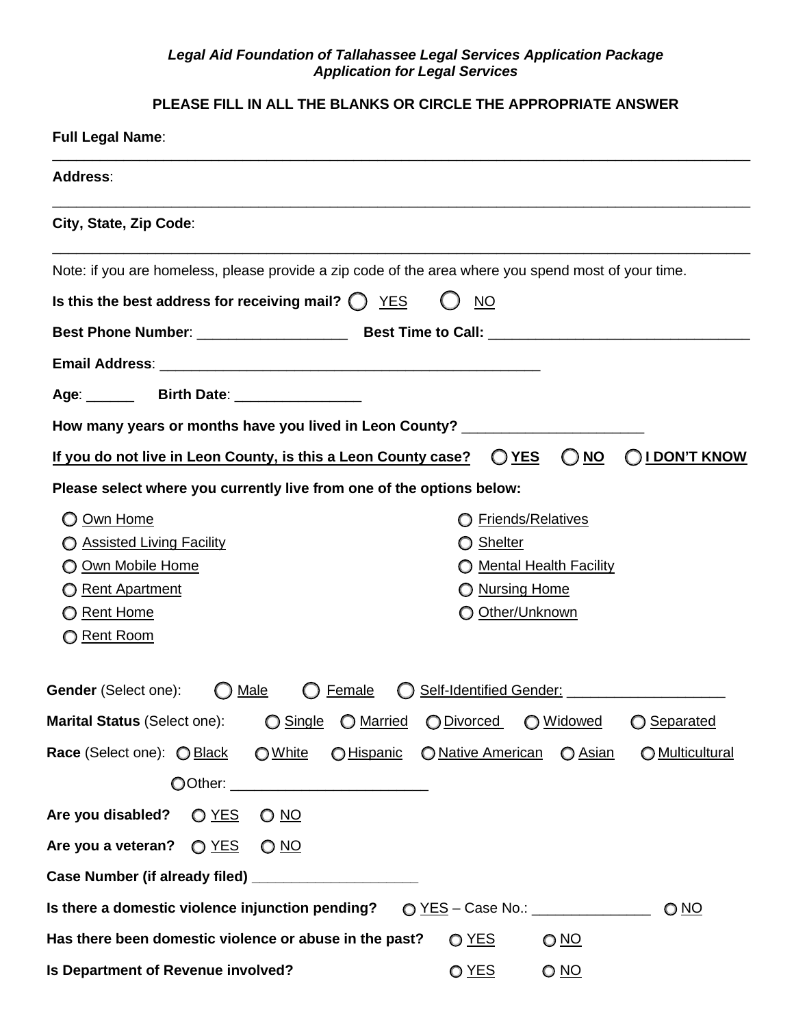#### *Legal Aid Foundation of Tallahassee Legal Services Application Package Application for Legal Services*

# **PLEASE FILL IN ALL THE BLANKS OR CIRCLE THE APPROPRIATE ANSWER**

| <b>Full Legal Name:</b>                                                                                                                                                                                                                                    |
|------------------------------------------------------------------------------------------------------------------------------------------------------------------------------------------------------------------------------------------------------------|
| <b>Address:</b>                                                                                                                                                                                                                                            |
| City, State, Zip Code:                                                                                                                                                                                                                                     |
| Note: if you are homeless, please provide a zip code of the area where you spend most of your time.                                                                                                                                                        |
| Is this the best address for receiving mail? $\bigcirc$ YES<br><b>NO</b>                                                                                                                                                                                   |
|                                                                                                                                                                                                                                                            |
|                                                                                                                                                                                                                                                            |
|                                                                                                                                                                                                                                                            |
| How many years or months have you lived in Leon County? ________________________                                                                                                                                                                           |
| If you do not live in Leon County, is this a Leon County case?<br><b>I DON'T KNOW</b><br>O YES<br><u>NO</u>                                                                                                                                                |
| Please select where you currently live from one of the options below:                                                                                                                                                                                      |
| Own Home<br><b>Friends/Relatives</b><br><b>Assisted Living Facility</b><br><b>Shelter</b><br>O<br>Own Mobile Home<br><b>Mental Health Facility</b><br>O Nursing Home<br><b>Rent Apartment</b><br><b>O</b> Rent Home<br>O Other/Unknown<br><b>Rent Room</b> |
| Gender (Select one):<br>Self-Identified Gender: ________________<br>Male<br><b>Female</b>                                                                                                                                                                  |
| Marital Status (Select one):<br>◯ Single<br>O Married<br>O Divorced<br>O Widowed<br>◯ Separated                                                                                                                                                            |
| Race (Select one): O Black<br>O Native American<br>O White<br>O Hispanic<br>O Asian<br>O Multicultural                                                                                                                                                     |
|                                                                                                                                                                                                                                                            |
| <u>O NO</u>                                                                                                                                                                                                                                                |
| Are you a veteran? $\bigcirc$ YES<br>$O$ NO                                                                                                                                                                                                                |
| Case Number (if already filed) _______________________                                                                                                                                                                                                     |
| Is there a domestic violence injunction pending? $\bigcirc$ YES - Case No.: _______________<br><u>O NO</u>                                                                                                                                                 |
| Has there been domestic violence or abuse in the past?<br>O YES<br><u>O NO</u>                                                                                                                                                                             |
| Is Department of Revenue involved?<br>O YES<br><u>O NO</u>                                                                                                                                                                                                 |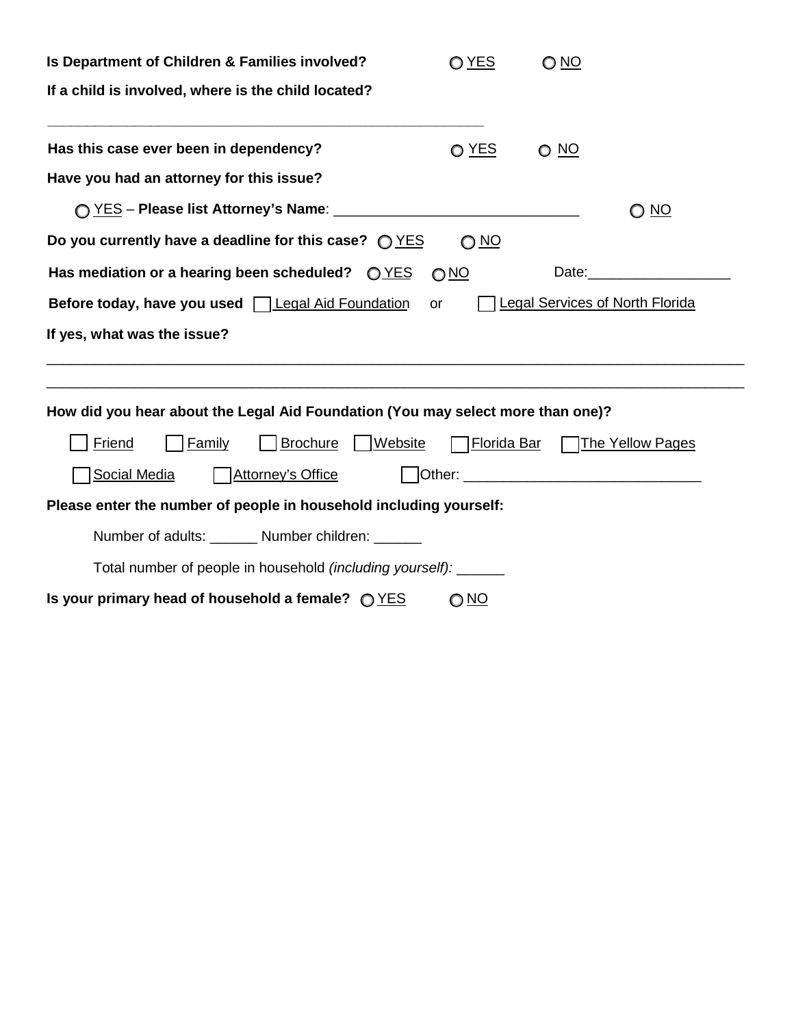| Is Department of Children & Families involved?                                                          | O YES           | O <sub>NO</sub> |                                                                                                                                                                                                                                     |  |  |  |
|---------------------------------------------------------------------------------------------------------|-----------------|-----------------|-------------------------------------------------------------------------------------------------------------------------------------------------------------------------------------------------------------------------------------|--|--|--|
| If a child is involved, where is the child located?                                                     |                 |                 |                                                                                                                                                                                                                                     |  |  |  |
| Has this case ever been in dependency?                                                                  | O YES           | <u>O NO</u>     |                                                                                                                                                                                                                                     |  |  |  |
| Have you had an attorney for this issue?                                                                |                 |                 |                                                                                                                                                                                                                                     |  |  |  |
|                                                                                                         |                 |                 | <u>O NO</u>                                                                                                                                                                                                                         |  |  |  |
| Do you currently have a deadline for this case? $Q$ $YES$                                               | O <sub>NO</sub> |                 |                                                                                                                                                                                                                                     |  |  |  |
| Has mediation or a hearing been scheduled? $QYES$<br>O <sub>NO</sub>                                    |                 |                 |                                                                                                                                                                                                                                     |  |  |  |
| <b>Legal Services of North Florida</b><br>Before today, have you used <u>Legal Aid Foundation</u><br>or |                 |                 |                                                                                                                                                                                                                                     |  |  |  |
| If yes, what was the issue?                                                                             |                 |                 |                                                                                                                                                                                                                                     |  |  |  |
|                                                                                                         |                 |                 |                                                                                                                                                                                                                                     |  |  |  |
| How did you hear about the Legal Aid Foundation (You may select more than one)?                         |                 |                 |                                                                                                                                                                                                                                     |  |  |  |
| Friend<br><b>Family</b><br><b>S</b> rochure   Website                                                   |                 |                 | Florida Bar The Yellow Pages                                                                                                                                                                                                        |  |  |  |
| Social Media<br><b>Attorney's Office</b>                                                                |                 |                 | Other: <u>University</u> Charles Communication of the Communication of the Communication of the Communication of the Communication of the Communication of the Communication of the Communication of the Communication of the Commu |  |  |  |
| Please enter the number of people in household including yourself:                                      |                 |                 |                                                                                                                                                                                                                                     |  |  |  |
| Number of adults: _______ Number children: ______                                                       |                 |                 |                                                                                                                                                                                                                                     |  |  |  |
| Total number of people in household (including yourself): ______                                        |                 |                 |                                                                                                                                                                                                                                     |  |  |  |
| Is your primary head of household a female? $Q$ $YES$                                                   | <u>O NO</u>     |                 |                                                                                                                                                                                                                                     |  |  |  |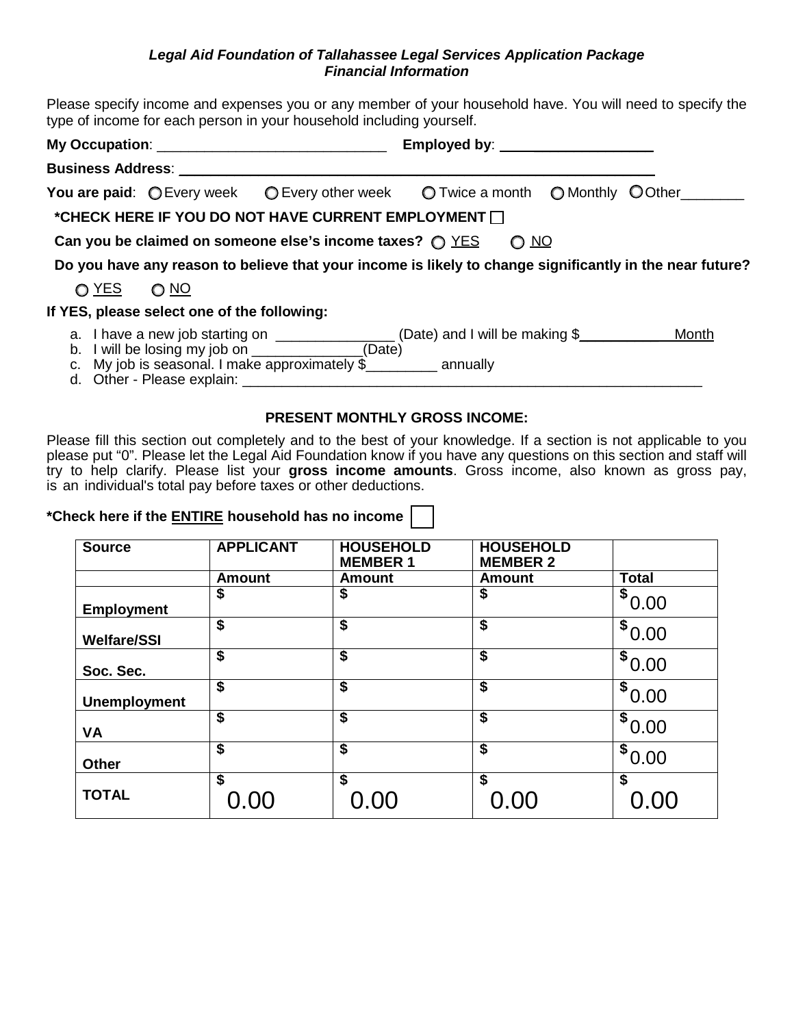#### *Legal Aid Foundation of Tallahassee Legal Services Application Package Financial Information*

Please specify income and expenses you or any member of your household have. You will need to specify the type of income for each person in your household including yourself.

| My Occupation: __________________________________ |                                             | Employed by: _____________________                                                                                                                                                                                                |             |  |  |
|---------------------------------------------------|---------------------------------------------|-----------------------------------------------------------------------------------------------------------------------------------------------------------------------------------------------------------------------------------|-------------|--|--|
|                                                   | Business Address: ___________________       |                                                                                                                                                                                                                                   |             |  |  |
|                                                   |                                             | You are paid: $\bigcirc$ Every week $\bigcirc$ Every other week $\bigcirc$ Twice a month $\bigcirc$ Monthly $\bigcirc$ Other                                                                                                      |             |  |  |
|                                                   |                                             | *CHECK HERE IF YOU DO NOT HAVE CURRENT EMPLOYMENT $\Box$                                                                                                                                                                          |             |  |  |
|                                                   |                                             | Can you be claimed on someone else's income taxes? $\bigcirc$ YES                                                                                                                                                                 | <u>O NO</u> |  |  |
|                                                   |                                             | Do you have any reason to believe that your income is likely to change significantly in the near future?                                                                                                                          |             |  |  |
| O YES O NO                                        |                                             |                                                                                                                                                                                                                                   |             |  |  |
|                                                   | If YES, please select one of the following: |                                                                                                                                                                                                                                   |             |  |  |
|                                                   |                                             | a. I have a new job starting on __________________ (Date) and I will be making \$_____________ Month<br>b. I will be losing my job on _______________(Date)<br>c. My job is seasonal. I make approximately $\frac{1}{2}$ annually |             |  |  |

#### **PRESENT MONTHLY GROSS INCOME:**

Please fill this section out completely and to the best of your knowledge. If a section is not applicable to you please put "0". Please let the Legal Aid Foundation know if you have any questions on this section and staff will try to help clarify. Please list your **gross income amounts**. Gross income, also known as gross pay, is an individual's total pay before taxes or other deductions.

## **\*Check here if the ENTIRE household has no income**

| <b>Source</b>       | <b>APPLICANT</b>                     | <b>HOUSEHOLD</b><br><b>MEMBER 1</b> | <b>HOUSEHOLD</b><br><b>MEMBER 2</b> |              |
|---------------------|--------------------------------------|-------------------------------------|-------------------------------------|--------------|
|                     | <b>Amount</b>                        | <b>Amount</b>                       | <b>Amount</b>                       | <b>Total</b> |
| <b>Employment</b>   | \$                                   | \$                                  | \$                                  | \$<br>0.00   |
| <b>Welfare/SSI</b>  | $\overline{\boldsymbol{\mathsf{s}}}$ | \$                                  | \$                                  | \$0.00       |
| Soc. Sec.           | $\overline{\boldsymbol{\mathsf{s}}}$ | \$                                  | \$                                  | \$<br>0.00   |
| <b>Unemployment</b> | $\overline{\boldsymbol{\mathsf{s}}}$ | \$                                  | \$                                  | \$0.00       |
| <b>VA</b>           | \$                                   | \$                                  | \$                                  | \$<br>0.00   |
| <b>Other</b>        | \$                                   | \$                                  | \$                                  | \$<br>0.00   |
| <b>TOTAL</b>        | \$<br>0.00                           | \$<br>0.00                          | \$<br>0.00                          | \$<br>0.00   |